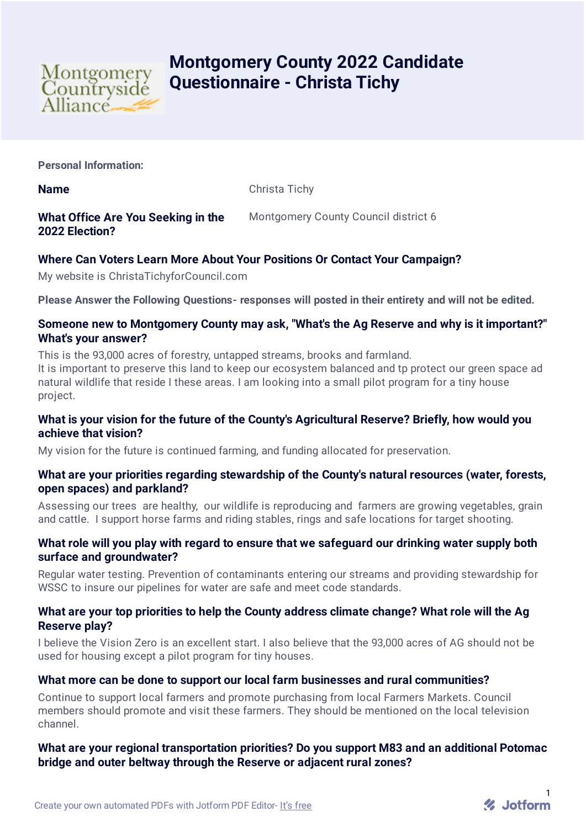

# **Montgomery County 2022 Candidate Questionnaire - Christa Tichy**

**Personal Information:**

**Name** Christa Tichy

# **What Office Are You Seeking in the 2022 Election?**

Montgomery County Council district 6

# **Where Can Voters Learn More About Your Positions Or Contact Your Campaign?**

My website is ChristaTichyforCouncil.com

**Please Answer the Following Questions- responses will posted in their entirety and will not be edited.**

### **Someone new to Montgomery County may ask, "What's the Ag Reserve and why is it important?" What's your answer?**

This is the 93,000 acres of forestry, untapped streams, brooks and farmland.

It is important to preserve this land to keep our ecosystem balanced and tp protect our green space ad natural wildlife that reside I these areas. I am looking into a small pilot program for a tiny house project.

#### **What is your vision for the future of the County's Agricultural Reserve? Briefly, how would you achieve that vision?**

My vision for the future is continued farming, and funding allocated for preservation.

#### **What are your priorities regarding stewardship of the County's natural resources (water, forests, open spaces) and parkland?**

Assessing our trees are healthy, our wildlife is reproducing and farmers are growing vegetables, grain and cattle. I support horse farms and riding stables, rings and safe locations for target shooting.

#### **What role will you play with regard to ensure that we safeguard our drinking water supply both surface and groundwater?**

Regular water testing. Prevention of contaminants entering our streams and providing stewardship for WSSC to insure our pipelines for water are safe and meet code standards.

#### **What are your top priorities to help the County address climate change? What role will the Ag Reserve play?**

I believe the Vision Zero is an excellent start. I also believe that the 93,000 acres of AG should not be used for housing except a pilot program for tiny houses.

## **What more can be done to support our local farm businesses and rural communities?**

Continue to support local farmers and promote purchasing from local Farmers Markets. Council members should promote and visit these farmers. They should be mentioned on the local television channel.

## **What are your regional transportation priorities? Do you support M83 and an additional Potomac bridge and outer beltway through the Reserve or adjacent rural zones?**